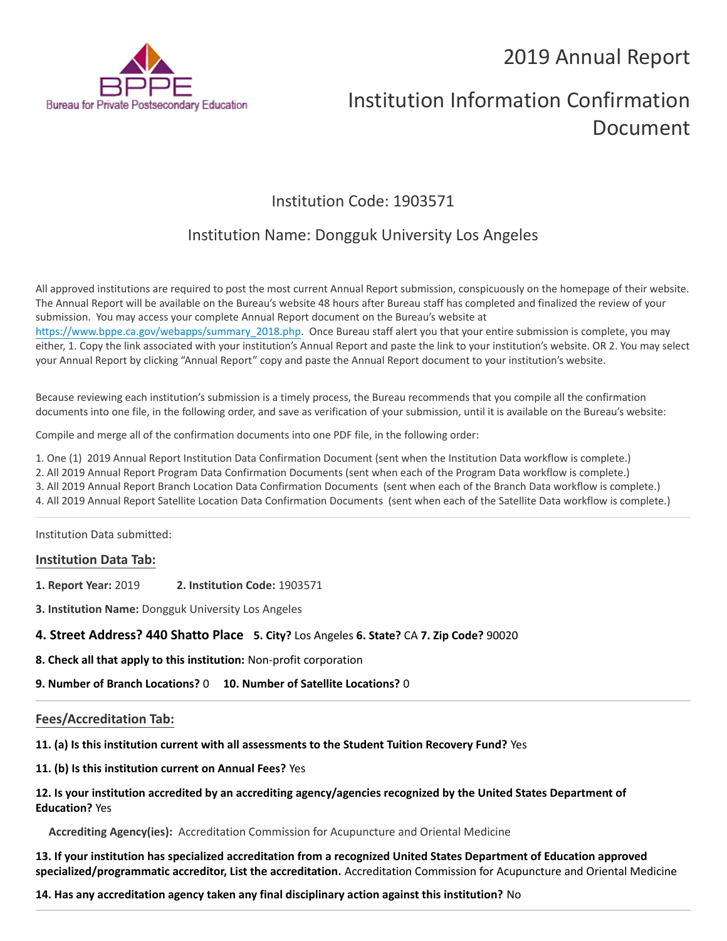# 2019 Annual Report



# Institution Information Confirmation Document

# Institution Code: 1903571

# Institution Name: Dongguk University Los Angeles

All approved institutions are required to post the most current Annual Report submission, conspicuously on the homepage of their website. The Annual Report will be available on the Bureau's website 48 hours after Bureau staff has completed and finalized the review of your submission. You may access your complete Annual Report document on the Bureau's website at [https://www.bppe.ca.gov/webapps/summary\\_2018.php.](https://www.bppe.ca.gov/webapps/summary_2018.php) Once Bureau staff alert you that your entire submission is complete, you may either, 1. Copy the link associated with your institution's Annual Report and paste the link to your institution's website. OR 2. You may select your Annual Report by clicking "Annual Report" copy and paste the Annual Report document to your institution's website.

Because reviewing each institution's submission is a timely process, the Bureau recommends that you compile all the confirmation documents into one file, in the following order, and save as verification of your submission, until it is available on the Bureau's website:

Compile and merge all of the confirmation documents into one PDF file, in the following order:

1. One (1) 2019 Annual Report Institution Data Confirmation Document (sent when the Institution Data workflow is complete.)

2. All 2019 Annual Report Program Data Confirmation Documents (sent when each of the Program Data workflow is complete.)

3. All 2019 Annual Report Branch Location Data Confirmation Documents (sent when each of the Branch Data workflow is complete.)

4. All 2019 Annual Report Satellite Location Data Confirmation Documents (sent when each of the Satellite Data workflow is complete.)

Institution Data submitted:

## **Institution Data Tab:**

**1. Report Year:** 2019 **2. Institution Code:** 1903571

**3. Institution Name:** Dongguk University Los Angeles

**4. Street Address? 440 Shatto Place 5. City?** Los Angeles **6. State?** CA **7. Zip Code?** 90020

**8. Check all that apply to this institution:** Non-profit corporation

**9. Number of Branch Locations?** 0 **10. Number of Satellite Locations?** 0

## **Fees/Accreditation Tab:**

**11. (a) Is this institution current with all assessments to the Student Tuition Recovery Fund?** Yes

**11. (b) Is this institution current on Annual Fees?** Yes

## **12. Is your institution accredited by an accrediting agency/agencies recognized by the United States Department of Education?** Yes

**Accrediting Agency(ies):** Accreditation Commission for Acupuncture and Oriental Medicine

**13. If your institution has specialized accreditation from a recognized United States Department of Education approved specialized/programmatic accreditor, List the accreditation.** Accreditation Commission for Acupuncture and Oriental Medicine

**14. Has any accreditation agency taken any final disciplinary action against this institution?** No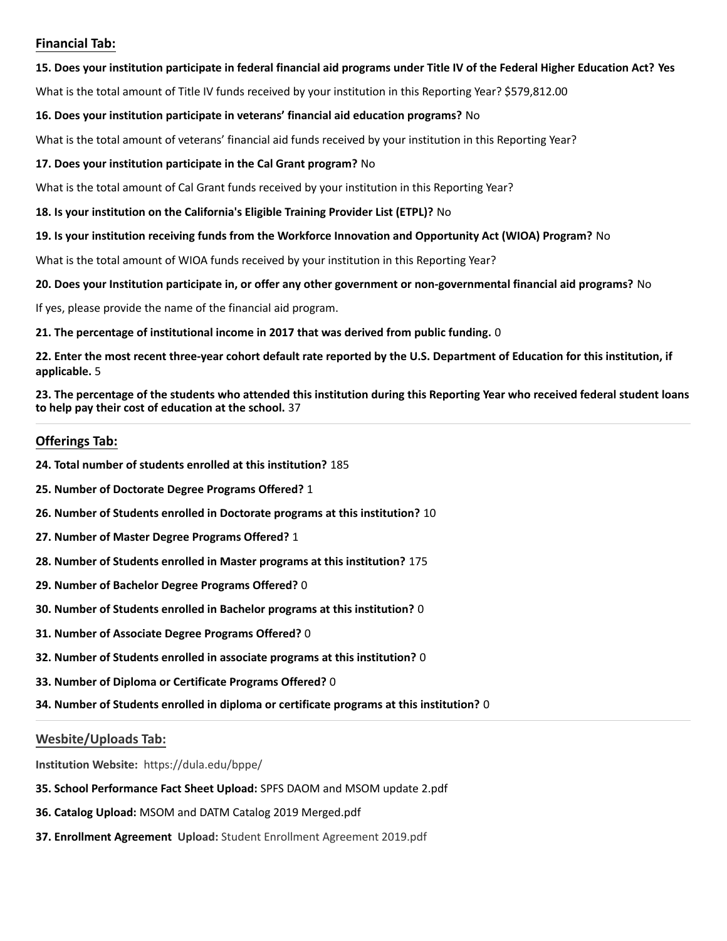## **Financial Tab:**

#### **15. Does your institution participate in federal financial aid programs under Title IV of the Federal Higher Education Act? Yes**

What is the total amount of Title IV funds received by your institution in this Reporting Year? \$579,812.00

### **16. Does your institution participate in veterans' financial aid education programs?** No

What is the total amount of veterans' financial aid funds received by your institution in this Reporting Year?

### **17. Does your institution participate in the Cal Grant program?** No

What is the total amount of Cal Grant funds received by your institution in this Reporting Year?

#### **18. Is your institution on the California's Eligible Training Provider List (ETPL)?** No

#### **19. Is your institution receiving funds from the Workforce Innovation and Opportunity Act (WIOA) Program?** No

What is the total amount of WIOA funds received by your institution in this Reporting Year?

#### **20. Does your Institution participate in, or offer any other government or non-governmental financial aid programs?** No

If yes, please provide the name of the financial aid program.

**21. The percentage of institutional income in 2017 that was derived from public funding.** 0

**22. Enter the most recent three-year cohort default rate reported by the U.S. Department of Education for this institution, if applicable.** 5

**23. The percentage of the students who attended this institution during this Reporting Year who received federal student loans to help pay their cost of education at the school.** 37

## **Offerings Tab:**

- **24. Total number of students enrolled at this institution?** 185
- **25. Number of Doctorate Degree Programs Offered?** 1
- **26. Number of Students enrolled in Doctorate programs at this institution?** 10
- **27. Number of Master Degree Programs Offered?** 1
- **28. Number of Students enrolled in Master programs at this institution?** 175
- **29. Number of Bachelor Degree Programs Offered?** 0
- **30. Number of Students enrolled in Bachelor programs at this institution?** 0
- **31. Number of Associate Degree Programs Offered?** 0
- **32. Number of Students enrolled in associate programs at this institution?** 0
- **33. Number of Diploma or Certificate Programs Offered?** 0
- **34. Number of Students enrolled in diploma or certificate programs at this institution?** 0

## **Wesbite/Uploads Tab:**

**Institution Website:**  https://dula.edu/bppe/

- **35. School Performance Fact Sheet Upload:** SPFS DAOM and MSOM update 2.pdf
- **36. Catalog Upload:** MSOM and DATM Catalog 2019 Merged.pdf
- **37. Enrollment Agreement Upload:** Student Enrollment Agreement 2019.pdf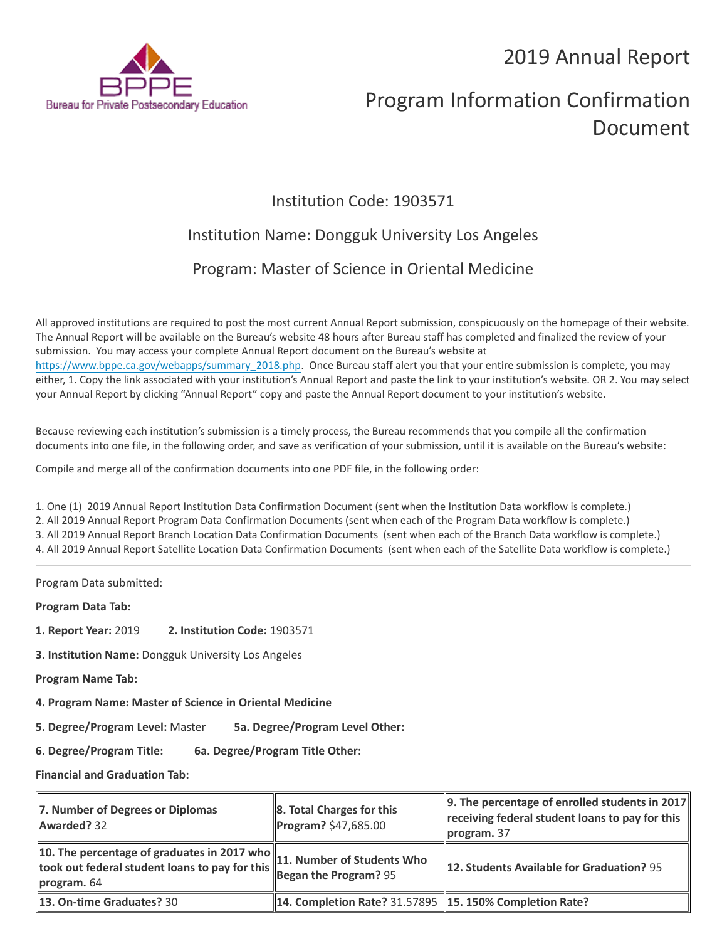# 2019 Annual Report



# Program Information Confirmation Document

# Institution Code: 1903571

# Institution Name: Dongguk University Los Angeles

# Program: Master of Science in Oriental Medicine

All approved institutions are required to post the most current Annual Report submission, conspicuously on the homepage of their website. The Annual Report will be available on the Bureau's website 48 hours after Bureau staff has completed and finalized the review of your submission. You may access your complete Annual Report document on the Bureau's website at [https://www.bppe.ca.gov/webapps/summary\\_2018.php.](https://www.bppe.ca.gov/webapps/summary_2018.php) Once Bureau staff alert you that your entire submission is complete, you may either, 1. Copy the link associated with your institution's Annual Report and paste the link to your institution's website. OR 2. You may select your Annual Report by clicking "Annual Report" copy and paste the Annual Report document to your institution's website.

Because reviewing each institution's submission is a timely process, the Bureau recommends that you compile all the confirmation documents into one file, in the following order, and save as verification of your submission, until it is available on the Bureau's website:

Compile and merge all of the confirmation documents into one PDF file, in the following order:

1. One (1) 2019 Annual Report Institution Data Confirmation Document (sent when the Institution Data workflow is complete.) 2. All 2019 Annual Report Program Data Confirmation Documents (sent when each of the Program Data workflow is complete.) 3. All 2019 Annual Report Branch Location Data Confirmation Documents (sent when each of the Branch Data workflow is complete.) 4. All 2019 Annual Report Satellite Location Data Confirmation Documents (sent when each of the Satellite Data workflow is complete.)

Program Data submitted:

**Program Data Tab:**

- **1. Report Year:** 2019 **2. Institution Code:** 1903571
- **3. Institution Name:** Dongguk University Los Angeles
- **Program Name Tab:**
- **4. Program Name: Master of Science in Oriental Medicine**

**5. Degree/Program Level:** Master **5a. Degree/Program Level Other:**

**6. Degree/Program Title: 6a. Degree/Program Title Other:**

**Financial and Graduation Tab:**

| 7. Number of Degrees or Diplomas<br>Awarded? 32                                                                                                                          | 8. Total Charges for this<br>Program? \$47,685.00         | $\ 9.$ The percentage of enrolled students in 2017<br>receiving federal student loans to pay for this<br>$\parallel$ program. 37 |
|--------------------------------------------------------------------------------------------------------------------------------------------------------------------------|-----------------------------------------------------------|----------------------------------------------------------------------------------------------------------------------------------|
| 10. The percentage of graduates in 2017 who $\ $ 11. Number of Students Who<br>took out federal student loans to pay for this <b>Forman American</b> ? 95<br>program. 64 |                                                           | 12. Students Available for Graduation? 95                                                                                        |
| <b>13. On-time Graduates? 30</b>                                                                                                                                         | 14. Completion Rate? 31.57895   15. 150% Completion Rate? |                                                                                                                                  |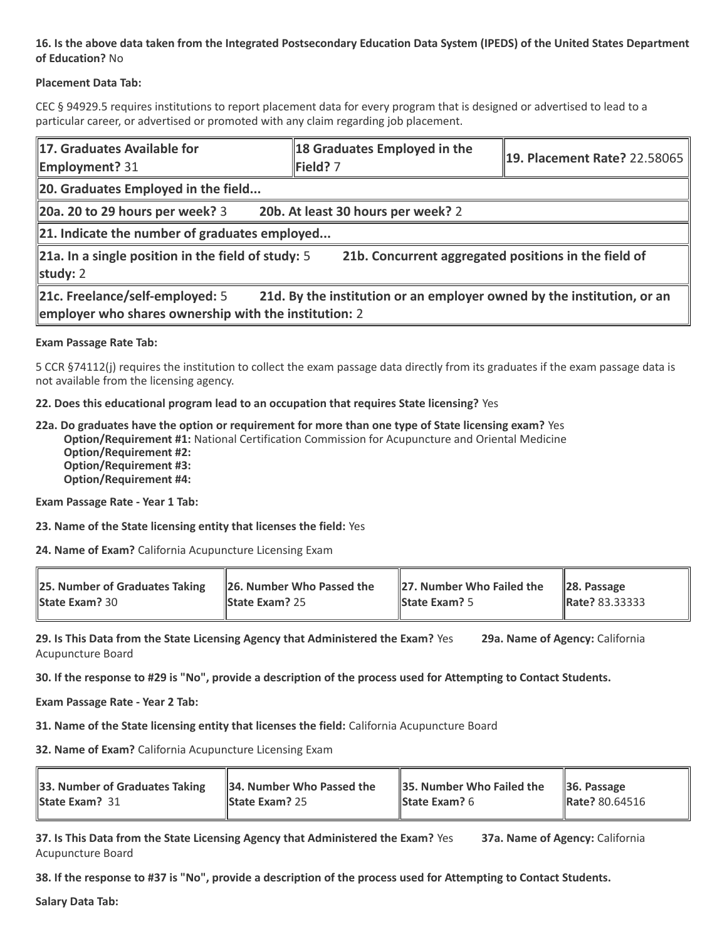## **16. Is the above data taken from the Integrated Postsecondary Education Data System (IPEDS) of the United States Department of Education?** No

## **Placement Data Tab:**

CEC § 94929.5 requires institutions to report placement data for every program that is designed or advertised to lead to a particular career, or advertised or promoted with any claim regarding job placement.

| 17. Graduates Available for<br><b>Employment?</b> 31                                                                                                               | 18 Graduates Employed in the<br>Field? 7 | 19. Placement Rate? 22.58065 |  |  |
|--------------------------------------------------------------------------------------------------------------------------------------------------------------------|------------------------------------------|------------------------------|--|--|
| 20. Graduates Employed in the field                                                                                                                                |                                          |                              |  |  |
| 20a. 20 to 29 hours per week? 3                                                                                                                                    | 20b. At least 30 hours per week? 2       |                              |  |  |
| $\ $ 21. Indicate the number of graduates employed                                                                                                                 |                                          |                              |  |  |
| 21a. In a single position in the field of study: 5<br>21b. Concurrent aggregated positions in the field of<br>study: $2$                                           |                                          |                              |  |  |
| 21c. Freelance/self-employed: 5<br>21d. By the institution or an employer owned by the institution, or an<br>employer who shares ownership with the institution: 2 |                                          |                              |  |  |

#### **Exam Passage Rate Tab:**

5 CCR §74112(j) requires the institution to collect the exam passage data directly from its graduates if the exam passage data is not available from the licensing agency.

#### **22. Does this educational program lead to an occupation that requires State licensing?** Yes

**22a. Do graduates have the option or requirement for more than one type of State licensing exam?** Yes **Option/Requirement #1:** National Certification Commission for Acupuncture and Oriental Medicine **Option/Requirement #2: Option/Requirement #3: Option/Requirement #4:**

**Exam Passage Rate - Year 1 Tab:**

**23. Name of the State licensing entity that licenses the field:** Yes

**24. Name of Exam?** California Acupuncture Licensing Exam

| 25. Number of Graduates Taking | 26. Number Who Passed the | $\parallel$ 27. Number Who Failed the | $\ 28.$ Passage       |
|--------------------------------|---------------------------|---------------------------------------|-----------------------|
| <b>State Exam? 30</b>          | <b>State Exam? 25</b>     | <b>State Exam?</b> 5                  | <b>Rate? 83.33333</b> |

**29. Is This Data from the State Licensing Agency that Administered the Exam?** Yes **29a. Name of Agency:** California Acupuncture Board

**30. If the response to #29 is "No", provide a description of the process used for Attempting to Contact Students.**

**Exam Passage Rate - Year 2 Tab:**

**31. Name of the State licensing entity that licenses the field:** California Acupuncture Board

**32. Name of Exam?** California Acupuncture Licensing Exam

| 33. Number of Graduates Taking | 34. Number Who Passed the | 35. Number Who Failed the | $\vert$ 36. Passage   |
|--------------------------------|---------------------------|---------------------------|-----------------------|
| <b>State Exam?</b> 31          | <b>State Exam? 25</b>     | <b>State Exam?</b> $6$    | <b>Rate?</b> 80.64516 |

**37. Is This Data from the State Licensing Agency that Administered the Exam?** Yes **37a. Name of Agency:** California Acupuncture Board

**38. If the response to #37 is "No", provide a description of the process used for Attempting to Contact Students.** 

**Salary Data Tab:**